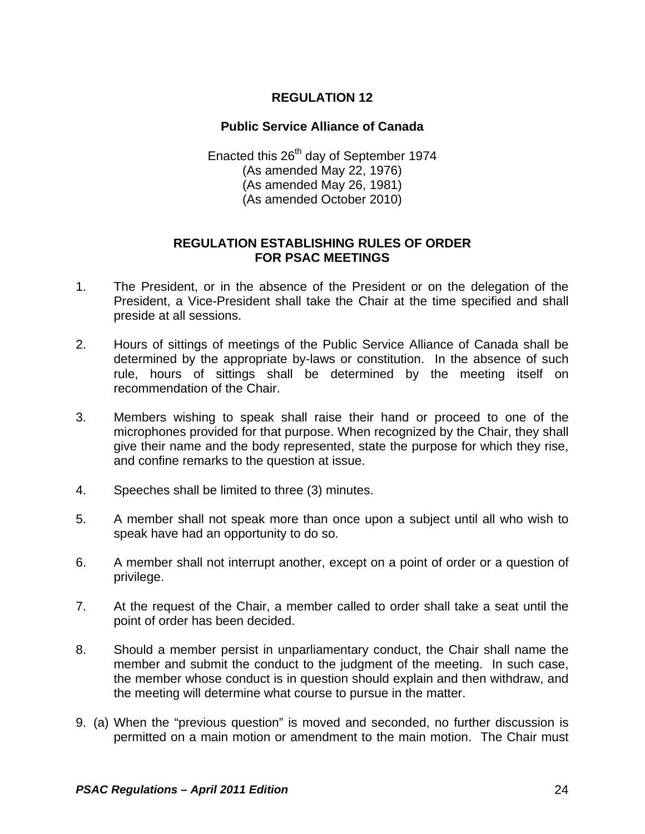## **REGULATION 12**

## **Public Service Alliance of Canada**

Enacted this 26<sup>th</sup> day of September 1974 (As amended May 22, 1976) (As amended May 26, 1981) (As amended October 2010)

## **REGULATION ESTABLISHING RULES OF ORDER FOR PSAC MEETINGS**

- 1. The President, or in the absence of the President or on the delegation of the President, a Vice-President shall take the Chair at the time specified and shall preside at all sessions.
- 2. Hours of sittings of meetings of the Public Service Alliance of Canada shall be determined by the appropriate by-laws or constitution. In the absence of such rule, hours of sittings shall be determined by the meeting itself on recommendation of the Chair.
- 3. Members wishing to speak shall raise their hand or proceed to one of the microphones provided for that purpose. When recognized by the Chair, they shall give their name and the body represented, state the purpose for which they rise, and confine remarks to the question at issue.
- 4. Speeches shall be limited to three (3) minutes.
- 5. A member shall not speak more than once upon a subject until all who wish to speak have had an opportunity to do so.
- 6. A member shall not interrupt another, except on a point of order or a question of privilege.
- 7. At the request of the Chair, a member called to order shall take a seat until the point of order has been decided.
- 8. Should a member persist in unparliamentary conduct, the Chair shall name the member and submit the conduct to the judgment of the meeting. In such case, the member whose conduct is in question should explain and then withdraw, and the meeting will determine what course to pursue in the matter.
- 9. (a) When the "previous question" is moved and seconded, no further discussion is permitted on a main motion or amendment to the main motion. The Chair must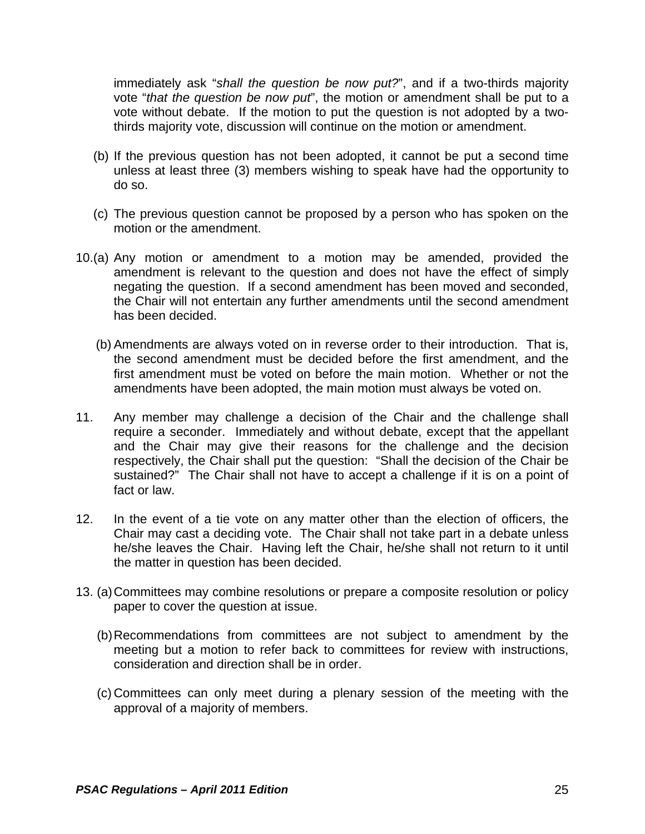immediately ask "*shall the question be now put?*", and if a two-thirds majority vote "*that the question be now put*", the motion or amendment shall be put to a vote without debate. If the motion to put the question is not adopted by a twothirds majority vote, discussion will continue on the motion or amendment.

- (b) If the previous question has not been adopted, it cannot be put a second time unless at least three (3) members wishing to speak have had the opportunity to do so.
- (c) The previous question cannot be proposed by a person who has spoken on the motion or the amendment.
- 10.(a) Any motion or amendment to a motion may be amended, provided the amendment is relevant to the question and does not have the effect of simply negating the question. If a second amendment has been moved and seconded, the Chair will not entertain any further amendments until the second amendment has been decided.
	- (b) Amendments are always voted on in reverse order to their introduction. That is, the second amendment must be decided before the first amendment, and the first amendment must be voted on before the main motion. Whether or not the amendments have been adopted, the main motion must always be voted on.
- 11. Any member may challenge a decision of the Chair and the challenge shall require a seconder. Immediately and without debate, except that the appellant and the Chair may give their reasons for the challenge and the decision respectively, the Chair shall put the question: "Shall the decision of the Chair be sustained?" The Chair shall not have to accept a challenge if it is on a point of fact or law.
- 12. In the event of a tie vote on any matter other than the election of officers, the Chair may cast a deciding vote. The Chair shall not take part in a debate unless he/she leaves the Chair. Having left the Chair, he/she shall not return to it until the matter in question has been decided.
- 13. (a) Committees may combine resolutions or prepare a composite resolution or policy paper to cover the question at issue.
	- (b) Recommendations from committees are not subject to amendment by the meeting but a motion to refer back to committees for review with instructions, consideration and direction shall be in order.
	- (c) Committees can only meet during a plenary session of the meeting with the approval of a majority of members.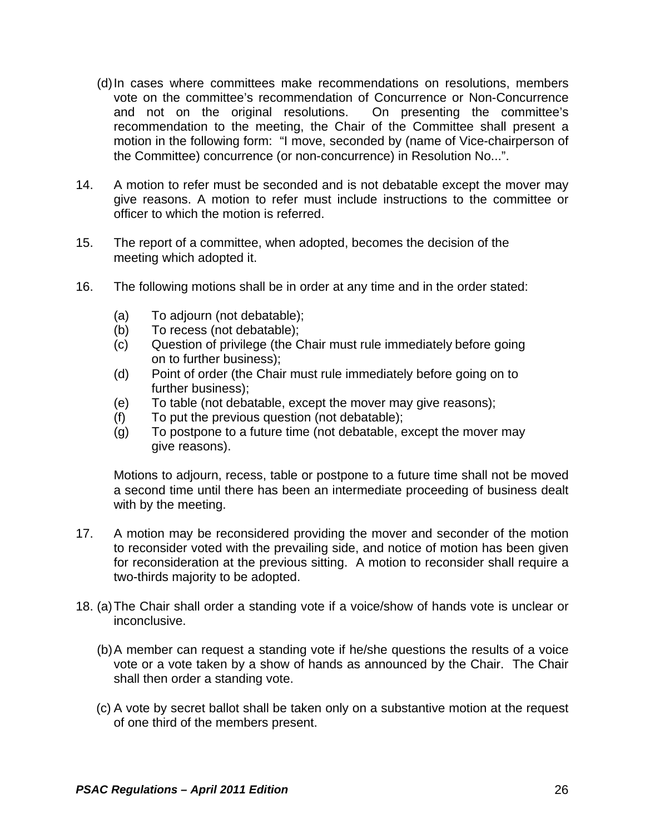- (d) In cases where committees make recommendations on resolutions, members vote on the committee's recommendation of Concurrence or Non-Concurrence and not on the original resolutions. On presenting the committee's recommendation to the meeting, the Chair of the Committee shall present a motion in the following form: "I move, seconded by (name of Vice-chairperson of the Committee) concurrence (or non-concurrence) in Resolution No...".
- 14. A motion to refer must be seconded and is not debatable except the mover may give reasons. A motion to refer must include instructions to the committee or officer to which the motion is referred.
- 15. The report of a committee, when adopted, becomes the decision of the meeting which adopted it.
- 16. The following motions shall be in order at any time and in the order stated:
	- (a) To adjourn (not debatable);
	- (b) To recess (not debatable);
	- (c) Question of privilege (the Chair must rule immediately before going on to further business);
	- (d) Point of order (the Chair must rule immediately before going on to further business);
	- (e) To table (not debatable, except the mover may give reasons);
	- (f) To put the previous question (not debatable);
	- (g) To postpone to a future time (not debatable, except the mover may give reasons).

Motions to adjourn, recess, table or postpone to a future time shall not be moved a second time until there has been an intermediate proceeding of business dealt with by the meeting.

- 17. A motion may be reconsidered providing the mover and seconder of the motion to reconsider voted with the prevailing side, and notice of motion has been given for reconsideration at the previous sitting. A motion to reconsider shall require a two-thirds majority to be adopted.
- 18. (a) The Chair shall order a standing vote if a voice/show of hands vote is unclear or inconclusive.
	- (b) A member can request a standing vote if he/she questions the results of a voice vote or a vote taken by a show of hands as announced by the Chair. The Chair shall then order a standing vote.
	- (c) A vote by secret ballot shall be taken only on a substantive motion at the request of one third of the members present.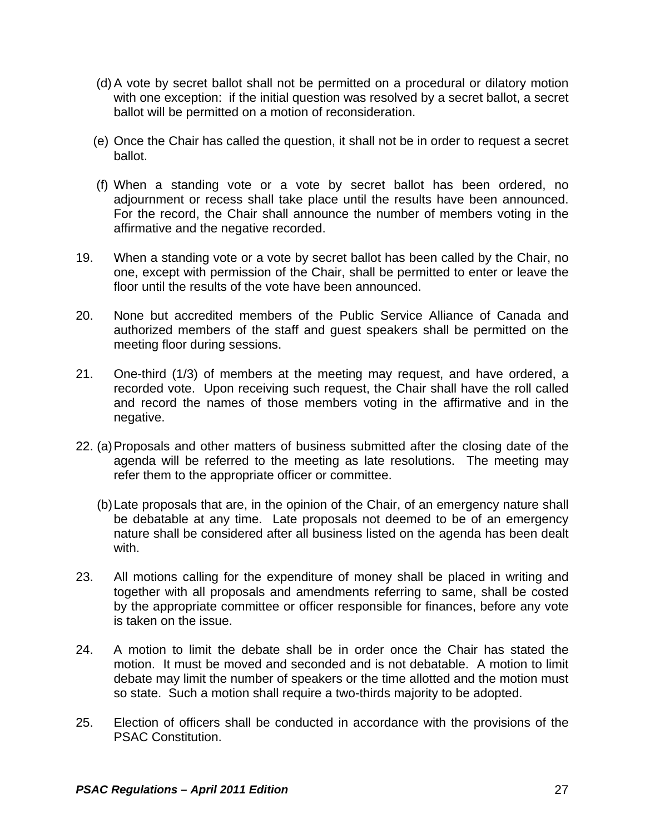- (d) A vote by secret ballot shall not be permitted on a procedural or dilatory motion with one exception: if the initial question was resolved by a secret ballot, a secret ballot will be permitted on a motion of reconsideration.
- (e) Once the Chair has called the question, it shall not be in order to request a secret ballot.
- (f) When a standing vote or a vote by secret ballot has been ordered, no adjournment or recess shall take place until the results have been announced. For the record, the Chair shall announce the number of members voting in the affirmative and the negative recorded.
- 19. When a standing vote or a vote by secret ballot has been called by the Chair, no one, except with permission of the Chair, shall be permitted to enter or leave the floor until the results of the vote have been announced.
- 20. None but accredited members of the Public Service Alliance of Canada and authorized members of the staff and guest speakers shall be permitted on the meeting floor during sessions.
- 21. One-third (1/3) of members at the meeting may request, and have ordered, a recorded vote. Upon receiving such request, the Chair shall have the roll called and record the names of those members voting in the affirmative and in the negative.
- 22. (a) Proposals and other matters of business submitted after the closing date of the agenda will be referred to the meeting as late resolutions. The meeting may refer them to the appropriate officer or committee.
	- (b) Late proposals that are, in the opinion of the Chair, of an emergency nature shall be debatable at any time. Late proposals not deemed to be of an emergency nature shall be considered after all business listed on the agenda has been dealt with.
- 23. All motions calling for the expenditure of money shall be placed in writing and together with all proposals and amendments referring to same, shall be costed by the appropriate committee or officer responsible for finances, before any vote is taken on the issue.
- 24. A motion to limit the debate shall be in order once the Chair has stated the motion. It must be moved and seconded and is not debatable. A motion to limit debate may limit the number of speakers or the time allotted and the motion must so state. Such a motion shall require a two-thirds majority to be adopted.
- 25. Election of officers shall be conducted in accordance with the provisions of the PSAC Constitution.